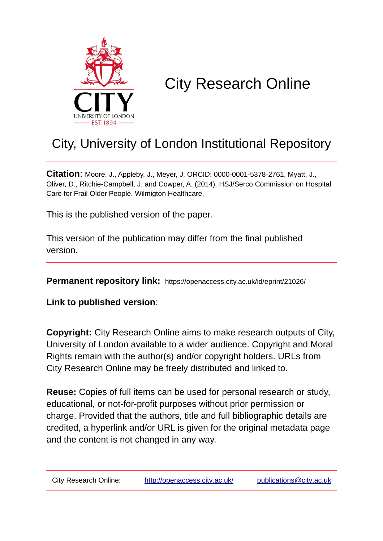

# City Research Online

# City, University of London Institutional Repository

**Citation**: Moore, J., Appleby, J., Meyer, J. ORCID: 0000-0001-5378-2761, Myatt, J., Oliver, D., Ritchie-Campbell, J. and Cowper, A. (2014). HSJ/Serco Commission on Hospital Care for Frail Older People. Wilmigton Healthcare.

This is the published version of the paper.

This version of the publication may differ from the final published version.

**Permanent repository link:** https://openaccess.city.ac.uk/id/eprint/21026/

**Link to published version**:

**Copyright:** City Research Online aims to make research outputs of City, University of London available to a wider audience. Copyright and Moral Rights remain with the author(s) and/or copyright holders. URLs from City Research Online may be freely distributed and linked to.

**Reuse:** Copies of full items can be used for personal research or study, educational, or not-for-profit purposes without prior permission or charge. Provided that the authors, title and full bibliographic details are credited, a hyperlink and/or URL is given for the original metadata page and the content is not changed in any way.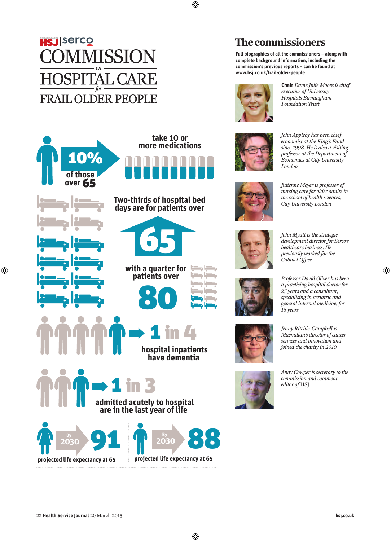# **HSJ** Serco **SSION** AL CA **FRAIL OLDER PEOPLE**



**Full biographies of all the commissioners – along with complete background information, including the commission's previous reports – can be found at www.hsj.co.uk/frail-older-people**



**Chair** *Dame Julie Moore is chief executive of University Hospitals Birmingham Foundation Trust*



*John Appleby has been chief economist at the King's Fund since 1998. He is also a visiting professor at the Department of Economics at City University London*



*Julienne Meyer is professor of nursing care for older adults in the school of health sciences, City University London*



*John Myatt is the strategic development director for Serco's healthcare business. He previously worked for the Cabinet Office*

*Professor David Oliver has been* 



*a practising hospital doctor for 25 years and a consultant, specialising in geriatric and general internal medicine, for 16 years*



*Jenny Ritchie-Campbell is Macmillan's director of cancer services and innovation and joined the charity in 2010*

*Andy Cowper is secretary to the commission and comment editor of* HSJ



**with a quarter for patients over**

65

**Two-thirds of hospital bed days are for patients over**

**take 10 or more medications**



+

+

**of those over** 65

10%

+

+

+

+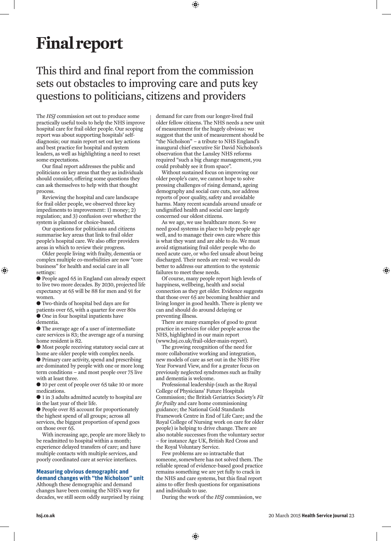# **Final report**

# This third and final report from the commission sets out obstacles to improving care and puts key questions to politicians, citizens and providers

The *HSJ* commission set out to produce some practically useful tools to help the NHS improve hospital care for frail older people. Our scoping report was about supporting hospitals' selfdiagnosis; our main report set out key actions and best practice for hospital and system leaders, as well as highlighting a need to reset some expectations.

Our final report addresses the public and politicians on key areas that they as individuals should consider, offering some questions they can ask themselves to help with that thought process.

Reviewing the hospital and care landscape for frail older people, we observed three key impediments to improvement: 1) money; 2) regulation; and 3) confusion over whether the system is planned or choice-based.

Our questions for politicians and citizens summarise key areas that link to frail older people's hospital care. We also offer providers areas in which to review their progress.

Older people living with frailty, dementia or complex multiple co-morbidities are now "core business" for health and social care in all settings:

● People aged 65 in England can already expect to live two more decades. By 2030, projected life expectancy at 65 will be 88 for men and 91 for women.

● Two-thirds of hospital bed days are for

- patients over 65, with a quarter for over 80s
- One in four hospital inpatients have dementia.

● The average age of a user of intermediate care services is 83; the average age of a nursing home resident is 82.

● Most people receiving statutory social care at home are older people with complex needs.

● Primary care activity, spend and prescribing are dominated by people with one or more long term conditions – and most people over 75 live with at least three.

● 10 per cent of people over 65 take 10 or more medications.

● 1 in 3 adults admitted acutely to hospital are in the last year of their life.

● People over 85 account for proportionately the highest spend of all groups; across all services, the biggest proportion of spend goes on those over 65.

With increasing age, people are more likely to be readmitted to hospital within a month; experience delayed transfers of care; and have multiple contacts with multiple services, and poorly coordinated care at service interfaces.

## **Measuring obvious demographic and demand changes with "the Nicholson" unit**

Although these demographic and demand changes have been coming the NHS's way for decades, we still seem oddly surprised by rising demand for care from our longer-lived frail older fellow citizens. The NHS needs a new unit of measurement for the hugely obvious: we suggest that the unit of measurement should be "the Nicholson" – a tribute to NHS England's inaugural chief executive Sir David Nicholson's observation that the Lansley NHS reforms required "such a big change management, you could probably see it from space".

Without sustained focus on improving our older people's care, we cannot hope to solve pressing challenges of rising demand, ageing demography and social care cuts, nor address reports of poor quality, safety and avoidable harms. Many recent scandals around unsafe or undignified health and social care largely concerned our oldest citizens.

As we age, we use healthcare more. So we need good systems in place to help people age well, and to manage their own care where this is what they want and are able to do. We must avoid stigmatising frail older people who do need acute care, or who feel unsafe about being discharged. Their needs are real: we would do better to address our attention to the systemic failures to meet these needs.

Of course, many people report high levels of happiness, wellbeing, health and social connection as they get older. Evidence suggests that those over 65 are becoming healthier and living longer in good health. There is plenty we can and should do around delaying or preventing illness.

There are many examples of good to great practice in services for older people across the NHS, highlighted in our main report (www.hsj.co.uk/frail-older-main-report).

The growing recognition of the need for more collaborative working and integration, new models of care as set out in the NHS Five Year Forward View, and for a greater focus on previously neglected syndromes such as frailty and dementia is welcome.

Professional leadership (such as the Royal College of Physicians' Future Hospitals Commission; the British Geriatrics Society's *Fit for frailty* and care home commissioning guidance; the National Gold Standards Framework Centre in End of Life Care; and the Royal College of Nursing work on care for older people) is helping to drive change. There are also notable successes from the voluntary sector – for instance Age UK, British Red Cross and the Royal Voluntary Service.

Few problems are so intractable that someone, somewhere has not solved them. The reliable spread of evidence-based good practice remains something we are yet fully to crack in the NHS and care systems, but this final report aims to offer fresh questions for organisations and individuals to use.

During the work of the *HSJ* commission, we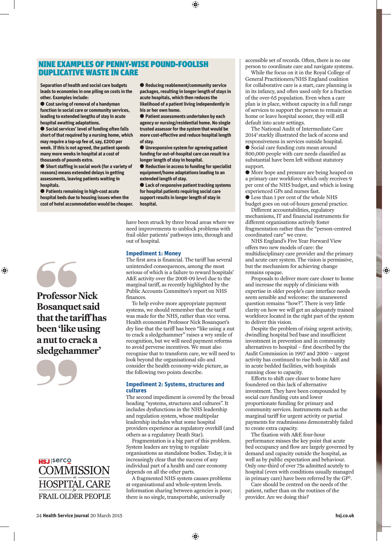# NINE EXAMPLES OF PENNY-WISE POUND-FOOLISH DUPLICATIVE WASTE IN CARE

**Separation of health and social care budgets leads to economies in one piling on costs in the other. Examples include:**

● **Cost saving of removal of a handyman function in social care or community services, leading to extended lengths of stay in acute hospital awaiting adaptations.** 

● **Social services' level of funding often falls short of that required by a nursing home, which may require a top-up fee of, say, £200 per week. If this is not agreed, the patient spends many more weeks in hospital at a cost of thousands of pounds extra.**

● **Short staffing in social work (for a variety of reasons) means extended delays in getting assessments, leaving patients waiting in hospitals.** 

● **Patients remaining in high-cost acute hospital beds due to housing issues when the cost of hotel accommodation would be cheaper.** 



**Professor Nick Bosanquet said that the tariff has been 'like using a nut to crack a sledgehammer'**





● **Reducing reablement/community service packages, resulting in longer length of stays in acute hospitals, which then reduces the likelihood of a patient living independently in his or her own home.** 

● **Patient assessments undertaken by each agency or nursing/residential home. No single trusted assessor for the system that would be more cost-effective and reduce hospital length of stay.** 

● **Unresponsive system for agreeing patient funding for out-of-hospital care can result in a longer length of stay in hospital.**

● **Reduction in access to funding for specialist equipment/home adaptations leading to an extended length of stay.** 

● **Lack of responsive patient tracking systems for hospital patients requiring social care support results in longer length of stay in hospital.** 

have been struck by three broad areas where we need improvements to unblock problems with frail older patients' pathways into, through and out of hospital.

## **Impediment 1: Money**

The first area is financial. The tariff has several unintended consequences, among the most serious of which is a failure to reward hospitals' A&E activity over the 2008-09 level due to the marginal tariff, as recently highlighted by the Public Accounts Committee's report on NHS finances.

To help evolve more appropriate payment systems, we should remember that the tariff was made for the NHS, rather than vice versa. Health economist Professor Nick Bosanquet's dry line that the tariff has been "like using a nut to crack a sledgehammer" raises a wry smile of recognition, but we will need payment reforms to avoid perverse incentives. We must also recognise that to transform care, we will need to look beyond the organisational silo and consider the health economy-wide picture, as the following two points describe.

#### **Impediment 2: Systems, structures and cultures**

The second impediment is covered by the broad heading "systems, structures and cultures". It includes dysfunctions in the NHS leadership and regulation system, whose multipolar leadership includes what some hospital providers experience as regulatory overkill (and others as a regulatory Death Star).

Fragmentation is a big part of this problem. System leaders are trying to regulate organisations as standalone bodies. Today, it is increasingly clear that the success of any individual part of a health and care economy depends on all the other parts.

A fragmented NHS system causes problems at organisational and whole-system levels. Information sharing between agencies is poor; there is no single, transportable, universally

accessible set of records. Often, there is no one person to coordinate care and navigate systems.

While the focus on it in the Royal College of General Practitioners/NHS England coalition for collaborative care is a start, care planning is in its infancy, and often used only for a fraction of the over-65 population. Even when a care plan is in place, without capacity in a full range of services to support the person to remain at home or leave hospital sooner, they will still default into acute settings.

The National Audit of Intermediate Care 20141 starkly illustrated the lack of access and responsiveness in services outside hospital.  $\bullet$  Social care funding cuts mean around 800,000 people with care needs classified as substantial have been left without statutory support.

l More hope and pressure are being heaped on a primary care workforce which only receives 9 per cent of the NHS budget, and which is losing experienced GPs and nurses fast.

 $\bullet$  Less than 1 per cent of the whole NHS budget goes on out-of-hours general practice.

Different accountabilities, regulatory mechanisms, IT and financial instruments for different organisations actively foster fragmentation rather than the "person-centred coordinated care" we crave.

NHS England's Five Year Forward View offers two new models of care: the multidisciplinary care provider and the primary and acute care system. The vision is permissive, but the mechanism for achieving change remains opaque.

Proposals to deliver more care closer to home and increase the supply of clinicians with expertise in older people's care interface needs seem sensible and welcome: the unanswered question remains "how?". There is very little clarity on how we will get an adequately trained workforce located in the right part of the system to deliver this vision.

Despite the problem of rising urgent activity, dwindling hospital bed base and insufficient investment in prevention and in community alternatives to hospital – first described by the Audit Commission in 1997 and 2000 – urgent activity has continued to rise both in A&E and in acute bedded facilities, with hospitals running close to capacity.

Efforts to shift care closer to home have foundered on this lack of alternative investment. They have been compounded by social care funding cuts and lower proportionate funding for primary and community services. Instruments such as the marginal tariff for urgent activity or partial payments for readmissions demonstrably failed to create extra capacity.

The fixation with A&E four-hour performance misses the key point that acute bed occupancy and flow are largely governed by demand and capacity outside the hospital, as well as by public expectation and behaviour. Only one-third of over 75s admitted acutely to hospital (even with conditions usually managed in primary care) have been referred by the GP2.

Care should be centred on the needs of the patient, rather than on the routines of the provider. Are we doing this?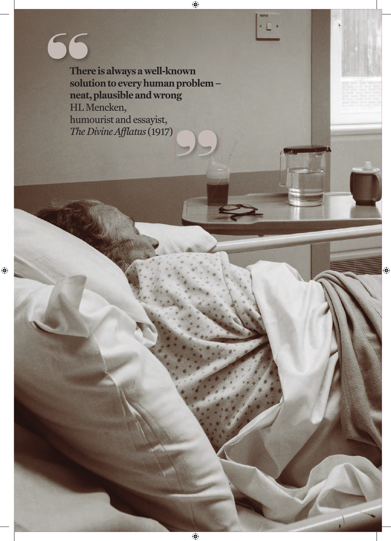**There is always a well-known solution to every human problem – neat, plausible and wrong** HL Mencken, humourist and essayist, *The Divine Afflatus* (1917)

66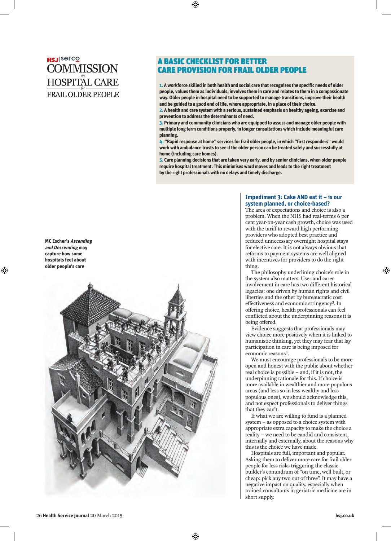# **HSJ** Serco **COMMISSION HOSPITAL CARE FRAIL OLDER PEOPLE**

# A BASIC CHECKLIST FOR BETTER CARE PROVISION FOR FRAIL OLDER PEOPLE

**1. A workforce skilled in both health and social care that recognises the specific needs of older people, values them as individuals, involves them in care and relates to them in a compassionate way. Older people in hospital need to be supported to manage transitions, improve their health and be guided to a good end of life, where appropriate, in a place of their choice.**

**2. A health and care system with a serious, sustained emphasis on healthy ageing, exercise and prevention to address the determinants of need.**

**3. Primary and community clinicians who are equipped to assess and manage older people with multiple long term conditions properly, in longer consultations which include meaningful care planning.**

**4. "Rapid response at home" services for frail older people, in which "first responders" would work with ambulance trusts to see if the older person can be treated safely and successfully at home (including care homes).**

**5. Care planning decisions that are taken very early, and by senior clinicians, when older people require hospital treatment. This minimises ward moves and leads to the right treatment by the right professionals with no delays and timely discharge.** 



## **Impediment 3: Cake AND eat it – is our system planned, or choice-based?**

The area of expectations and choice is also a problem. When the NHS had real-terms 6 per cent year-on-year cash growth, choice was used with the tariff to reward high performing providers who adopted best practice and reduced unnecessary overnight hospital stays for elective care. It is not always obvious that reforms to payment systems are well aligned with incentives for providers to do the right thing.

The philosophy underlining choice's role in the system also matters. User and carer involvement in care has two different historical legacies: one driven by human rights and civil liberties and the other by bureaucratic cost effectiveness and economic stringency3. In offering choice, health professionals can feel conflicted about the underpinning reasons it is being offered.

Evidence suggests that professionals may view choice more positively when it is linked to humanistic thinking, yet they may fear that lay participation in care is being imposed for economic reasons<sup>4</sup>.

We must encourage professionals to be more open and honest with the public about whether real choice is possible – and, if it is not, the underpinning rationale for this. If choice is more available in wealthier and more populous areas (and less so in less wealthy and less populous ones), we should acknowledge this, and not expect professionals to deliver things that they can't.

If what we are willing to fund is a planned system – as opposed to a choice system with appropriate extra capacity to make the choice a reality – we need to be candid and consistent, internally and externally, about the reasons why this is the choice we have made.

Hospitals are full, important and popular. Asking them to deliver more care for frail older people for less risks triggering the classic builder's conundrum of "on time, well built, or cheap: pick any two out of three". It may have a negative impact on quality, especially when trained consultants in geriatric medicine are in short supply.